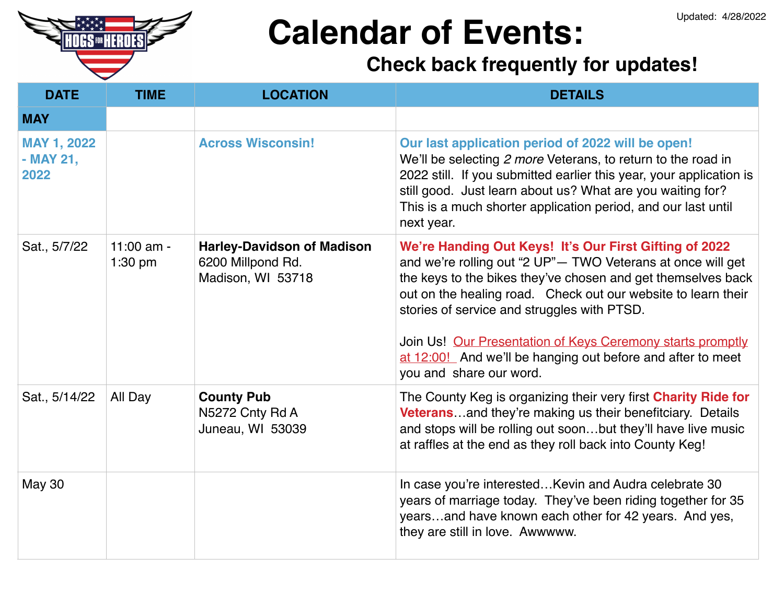

| <b>DATE</b>                             | <b>TIME</b>             | <b>LOCATION</b>                                                             | <b>DETAILS</b>                                                                                                                                                                                                                                                                                                                                                                                                                                                |
|-----------------------------------------|-------------------------|-----------------------------------------------------------------------------|---------------------------------------------------------------------------------------------------------------------------------------------------------------------------------------------------------------------------------------------------------------------------------------------------------------------------------------------------------------------------------------------------------------------------------------------------------------|
| <b>MAY</b>                              |                         |                                                                             |                                                                                                                                                                                                                                                                                                                                                                                                                                                               |
| <b>MAY 1, 2022</b><br>- MAY 21,<br>2022 |                         | <b>Across Wisconsin!</b>                                                    | Our last application period of 2022 will be open!<br>We'll be selecting 2 more Veterans, to return to the road in<br>2022 still. If you submitted earlier this year, your application is<br>still good. Just learn about us? What are you waiting for?<br>This is a much shorter application period, and our last until<br>next year.                                                                                                                         |
| Sat., 5/7/22                            | 11:00 am -<br>$1:30$ pm | <b>Harley-Davidson of Madison</b><br>6200 Millpond Rd.<br>Madison, WI 53718 | We're Handing Out Keys! It's Our First Gifting of 2022<br>and we're rolling out "2 UP"- TWO Veterans at once will get<br>the keys to the bikes they've chosen and get themselves back<br>out on the healing road. Check out our website to learn their<br>stories of service and struggles with PTSD.<br>Join Us! Our Presentation of Keys Ceremony starts promptly<br>at 12:00! And we'll be hanging out before and after to meet<br>you and share our word. |
| Sat., 5/14/22                           | All Day                 | <b>County Pub</b><br>N5272 Cnty Rd A<br>Juneau, WI 53039                    | The County Keg is organizing their very first Charity Ride for<br><b>Veterans</b> and they're making us their benefitciary. Details<br>and stops will be rolling out soonbut they'll have live music<br>at raffles at the end as they roll back into County Keg!                                                                                                                                                                                              |
| <b>May 30</b>                           |                         |                                                                             | In case you're interested Kevin and Audra celebrate 30<br>years of marriage today. They've been riding together for 35<br>yearsand have known each other for 42 years. And yes,<br>they are still in love. Awwwww.                                                                                                                                                                                                                                            |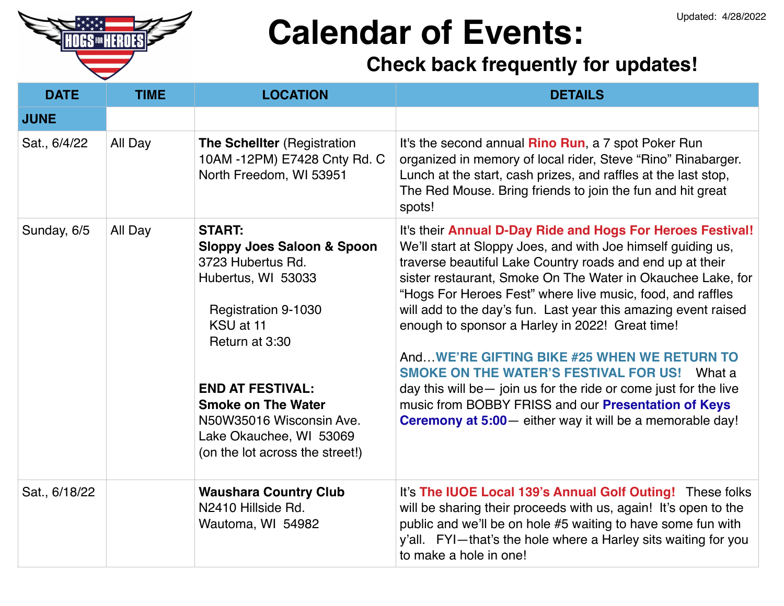

| <b>DATE</b>   | <b>TIME</b> | <b>LOCATION</b>                                                                                                                                                                                                                                                                                                  | <b>DETAILS</b>                                                                                                                                                                                                                                                                                                                                                                                                                                                                                                                                                                                                                                                                                                                                  |
|---------------|-------------|------------------------------------------------------------------------------------------------------------------------------------------------------------------------------------------------------------------------------------------------------------------------------------------------------------------|-------------------------------------------------------------------------------------------------------------------------------------------------------------------------------------------------------------------------------------------------------------------------------------------------------------------------------------------------------------------------------------------------------------------------------------------------------------------------------------------------------------------------------------------------------------------------------------------------------------------------------------------------------------------------------------------------------------------------------------------------|
| <b>JUNE</b>   |             |                                                                                                                                                                                                                                                                                                                  |                                                                                                                                                                                                                                                                                                                                                                                                                                                                                                                                                                                                                                                                                                                                                 |
| Sat., 6/4/22  | All Day     | <b>The Schellter (Registration</b><br>10AM -12PM) E7428 Cnty Rd. C<br>North Freedom, WI 53951                                                                                                                                                                                                                    | It's the second annual <b>Rino Run</b> , a 7 spot Poker Run<br>organized in memory of local rider, Steve "Rino" Rinabarger.<br>Lunch at the start, cash prizes, and raffles at the last stop,<br>The Red Mouse. Bring friends to join the fun and hit great<br>spots!                                                                                                                                                                                                                                                                                                                                                                                                                                                                           |
| Sunday, 6/5   | All Day     | <b>START:</b><br><b>Sloppy Joes Saloon &amp; Spoon</b><br>3723 Hubertus Rd.<br>Hubertus, WI 53033<br><b>Registration 9-1030</b><br>KSU at 11<br>Return at 3:30<br><b>END AT FESTIVAL:</b><br><b>Smoke on The Water</b><br>N50W35016 Wisconsin Ave.<br>Lake Okauchee, WI 53069<br>(on the lot across the street!) | It's their Annual D-Day Ride and Hogs For Heroes Festival!<br>We'll start at Sloppy Joes, and with Joe himself guiding us,<br>traverse beautiful Lake Country roads and end up at their<br>sister restaurant, Smoke On The Water in Okauchee Lake, for<br>"Hogs For Heroes Fest" where live music, food, and raffles<br>will add to the day's fun. Last year this amazing event raised<br>enough to sponsor a Harley in 2022! Great time!<br>AndWE'RE GIFTING BIKE #25 WHEN WE RETURN TO<br><b>SMOKE ON THE WATER'S FESTIVAL FOR US! What a</b><br>day this will be - join us for the ride or come just for the live<br>music from BOBBY FRISS and our Presentation of Keys<br><b>Ceremony at 5:00</b> - either way it will be a memorable day! |
| Sat., 6/18/22 |             | <b>Waushara Country Club</b><br>N2410 Hillside Rd.<br>Wautoma, WI 54982                                                                                                                                                                                                                                          | It's The IUOE Local 139's Annual Golf Outing! These folks<br>will be sharing their proceeds with us, again! It's open to the<br>public and we'll be on hole #5 waiting to have some fun with<br>y'all. FYI-that's the hole where a Harley sits waiting for you<br>to make a hole in one!                                                                                                                                                                                                                                                                                                                                                                                                                                                        |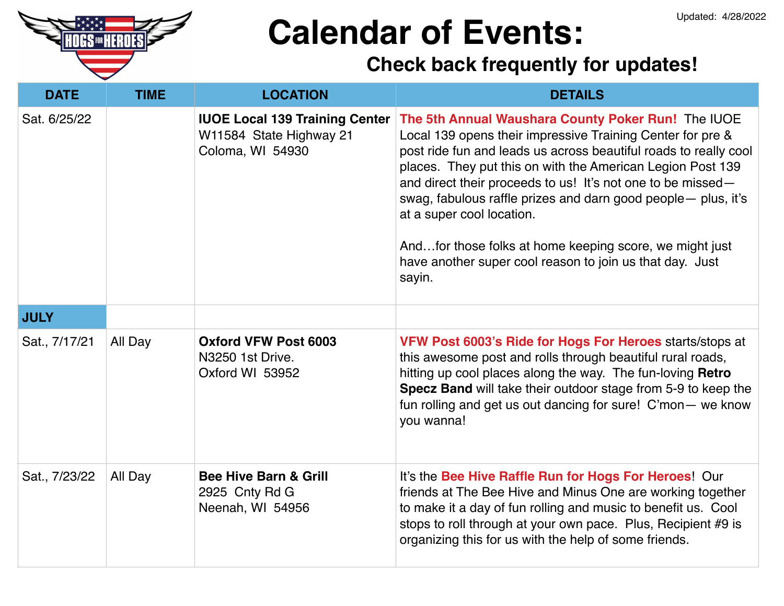

| <b>DATE</b>   | <b>TIME</b> | <b>LOCATION</b>                                                                      | <b>DETAILS</b>                                                                                                                                                                                                                                                                                                                                                                                                                                                                                                                                   |
|---------------|-------------|--------------------------------------------------------------------------------------|--------------------------------------------------------------------------------------------------------------------------------------------------------------------------------------------------------------------------------------------------------------------------------------------------------------------------------------------------------------------------------------------------------------------------------------------------------------------------------------------------------------------------------------------------|
| Sat. 6/25/22  |             | <b>IUOE Local 139 Training Center</b><br>W11584 State Highway 21<br>Coloma, WI 54930 | The 5th Annual Waushara County Poker Run! The IUOE<br>Local 139 opens their impressive Training Center for pre &<br>post ride fun and leads us across beautiful roads to really cool<br>places. They put this on with the American Legion Post 139<br>and direct their proceeds to us! It's not one to be missed-<br>swag, fabulous raffle prizes and darn good people- plus, it's<br>at a super cool location.<br>Andfor those folks at home keeping score, we might just<br>have another super cool reason to join us that day. Just<br>sayin. |
| <b>JULY</b>   |             |                                                                                      |                                                                                                                                                                                                                                                                                                                                                                                                                                                                                                                                                  |
| Sat., 7/17/21 | All Day     | <b>Oxford VFW Post 6003</b><br>N3250 1st Drive.<br>Oxford WI 53952                   | VFW Post 6003's Ride for Hogs For Heroes starts/stops at<br>this awesome post and rolls through beautiful rural roads,<br>hitting up cool places along the way. The fun-loving Retro<br>Specz Band will take their outdoor stage from 5-9 to keep the<br>fun rolling and get us out dancing for sure! C'mon — we know<br>you wanna!                                                                                                                                                                                                              |
| Sat., 7/23/22 | All Day     | <b>Bee Hive Barn &amp; Grill</b><br>2925 Cnty Rd G<br>Neenah, WI 54956               | It's the Bee Hive Raffle Run for Hogs For Heroes! Our<br>friends at The Bee Hive and Minus One are working together<br>to make it a day of fun rolling and music to benefit us. Cool<br>stops to roll through at your own pace. Plus, Recipient #9 is<br>organizing this for us with the help of some friends.                                                                                                                                                                                                                                   |